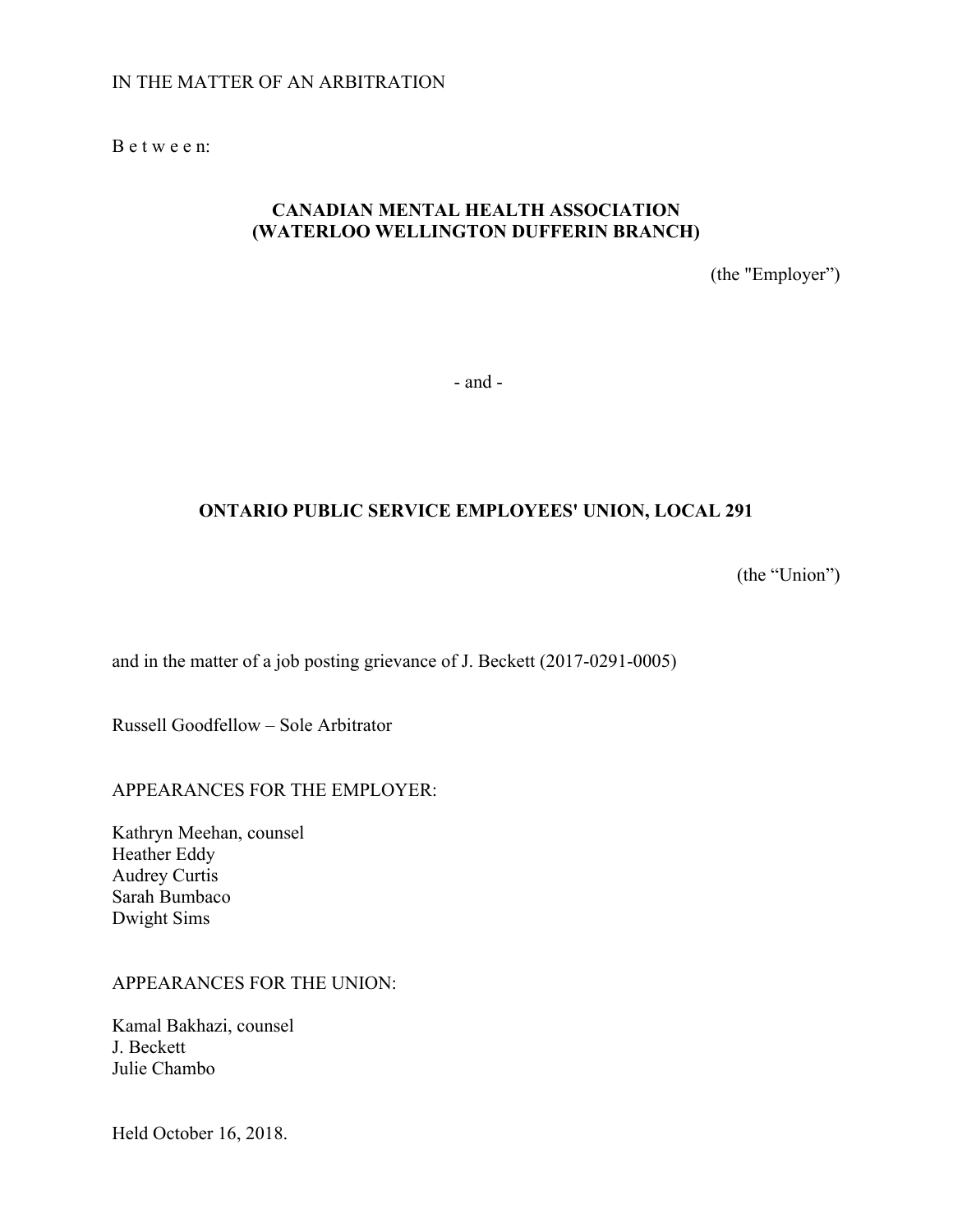## IN THE MATTER OF AN ARBITRATION

B e t w e e n:

## **CANADIAN MENTAL HEALTH ASSOCIATION (WATERLOO WELLINGTON DUFFERIN BRANCH)**

(the "Employer")

- and -

# **ONTARIO PUBLIC SERVICE EMPLOYEES' UNION, LOCAL 291**

(the "Union")

and in the matter of a job posting grievance of J. Beckett (2017-0291-0005)

Russell Goodfellow – Sole Arbitrator

### APPEARANCES FOR THE EMPLOYER:

Kathryn Meehan, counsel Heather Eddy Audrey Curtis Sarah Bumbaco Dwight Sims

#### APPEARANCES FOR THE UNION:

Kamal Bakhazi, counsel J. Beckett Julie Chambo

Held October 16, 2018.